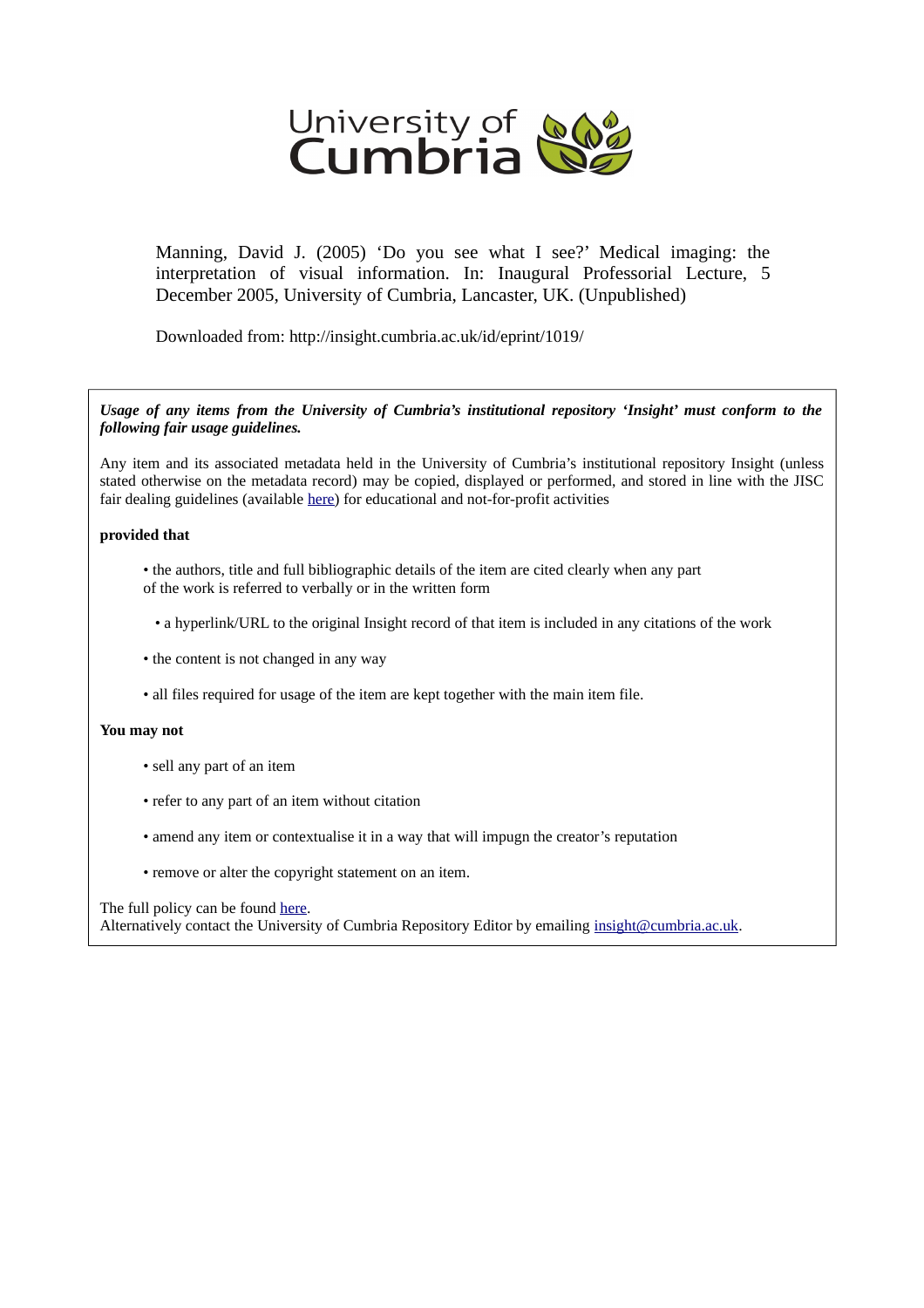

Manning, David J. (2005) 'Do you see what I see?' Medical imaging: the interpretation of visual information. In: Inaugural Professorial Lecture, 5 December 2005, University of Cumbria, Lancaster, UK. (Unpublished)

Downloaded from: http://insight.cumbria.ac.uk/id/eprint/1019/

*Usage of any items from the University of Cumbria's institutional repository 'Insight' must conform to the following fair usage guidelines.*

Any item and its associated metadata held in the University of Cumbria's institutional repository Insight (unless stated otherwise on the metadata record) may be copied, displayed or performed, and stored in line with the JISC fair dealing guidelines (available [here\)](http://www.ukoln.ac.uk/services/elib/papers/pa/fair/) for educational and not-for-profit activities

#### **provided that**

- the authors, title and full bibliographic details of the item are cited clearly when any part of the work is referred to verbally or in the written form
	- a hyperlink/URL to the original Insight record of that item is included in any citations of the work
- the content is not changed in any way
- all files required for usage of the item are kept together with the main item file.

#### **You may not**

- sell any part of an item
- refer to any part of an item without citation
- amend any item or contextualise it in a way that will impugn the creator's reputation
- remove or alter the copyright statement on an item.

#### The full policy can be found [here.](http://insight.cumbria.ac.uk/legal.html#section5)

Alternatively contact the University of Cumbria Repository Editor by emailing [insight@cumbria.ac.uk.](mailto:insight@cumbria.ac.uk)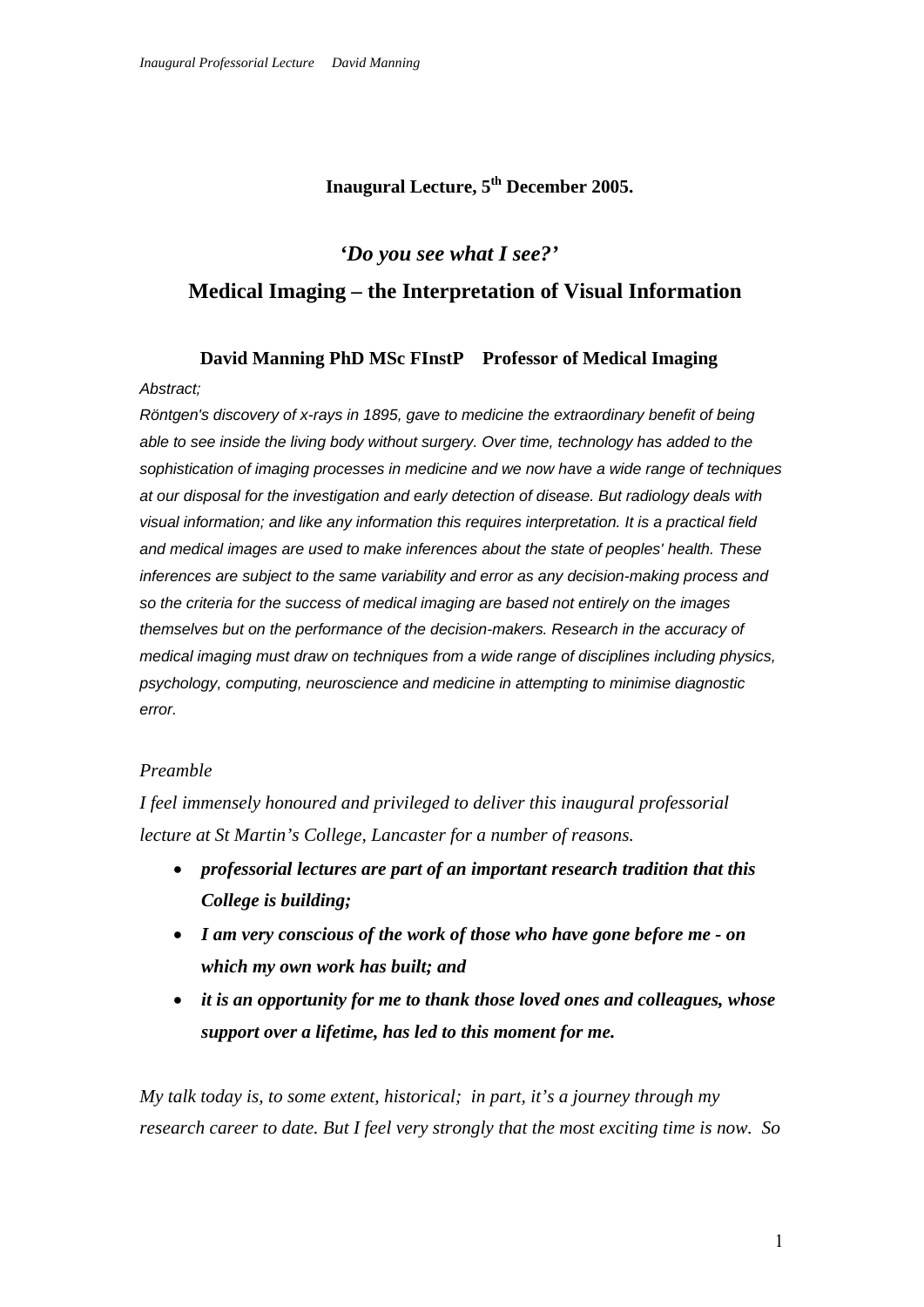## **Inaugural Lecture, 5th December 2005.**

#### *'Do you see what I see?'*

## **Medical Imaging – the Interpretation of Visual Information**

#### **David Manning PhD MSc FInstP Professor of Medical Imaging**

#### *Abstract;*

*Röntgen's discovery of x-rays in 1895, gave to medicine the extraordinary benefit of being able to see inside the living body without surgery. Over time, technology has added to the sophistication of imaging processes in medicine and we now have a wide range of techniques at our disposal for the investigation and early detection of disease. But radiology deals with visual information; and like any information this requires interpretation. It is a practical field and medical images are used to make inferences about the state of peoples' health. These inferences are subject to the same variability and error as any decision-making process and so the criteria for the success of medical imaging are based not entirely on the images themselves but on the performance of the decision-makers. Research in the accuracy of medical imaging must draw on techniques from a wide range of disciplines including physics, psychology, computing, neuroscience and medicine in attempting to minimise diagnostic error.* 

#### *Preamble*

*I feel immensely honoured and privileged to deliver this inaugural professorial lecture at St Martin's College, Lancaster for a number of reasons.* 

- *professorial lectures are part of an important research tradition that this College is building;*
- *I am very conscious of the work of those who have gone before me on which my own work has built; and*
- *it is an opportunity for me to thank those loved ones and colleagues, whose support over a lifetime, has led to this moment for me.*

*My talk today is, to some extent, historical; in part, it's a journey through my research career to date. But I feel very strongly that the most exciting time is now. So*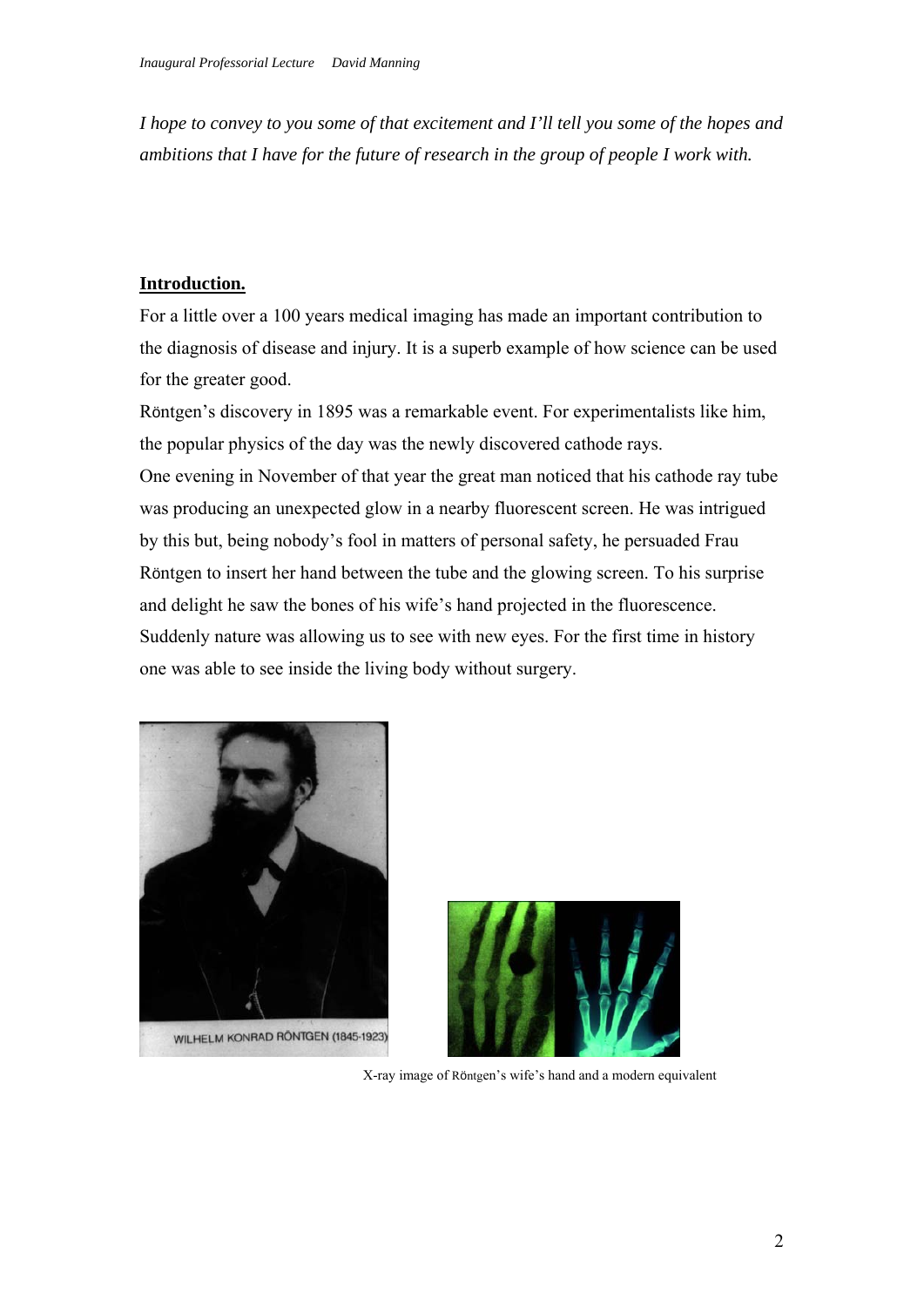*I hope to convey to you some of that excitement and I'll tell you some of the hopes and ambitions that I have for the future of research in the group of people I work with.* 

## **Introduction.**

For a little over a 100 years medical imaging has made an important contribution to the diagnosis of disease and injury. It is a superb example of how science can be used for the greater good.

Röntgen's discovery in 1895 was a remarkable event. For experimentalists like him, the popular physics of the day was the newly discovered cathode rays. One evening in November of that year the great man noticed that his cathode ray tube was producing an unexpected glow in a nearby fluorescent screen. He was intrigued by this but, being nobody's fool in matters of personal safety, he persuaded Frau Röntgen to insert her hand between the tube and the glowing screen. To his surprise and delight he saw the bones of his wife's hand projected in the fluorescence. Suddenly nature was allowing us to see with new eyes. For the first time in history one was able to see inside the living body without surgery.





X-ray image of Röntgen's wife's hand and a modern equivalent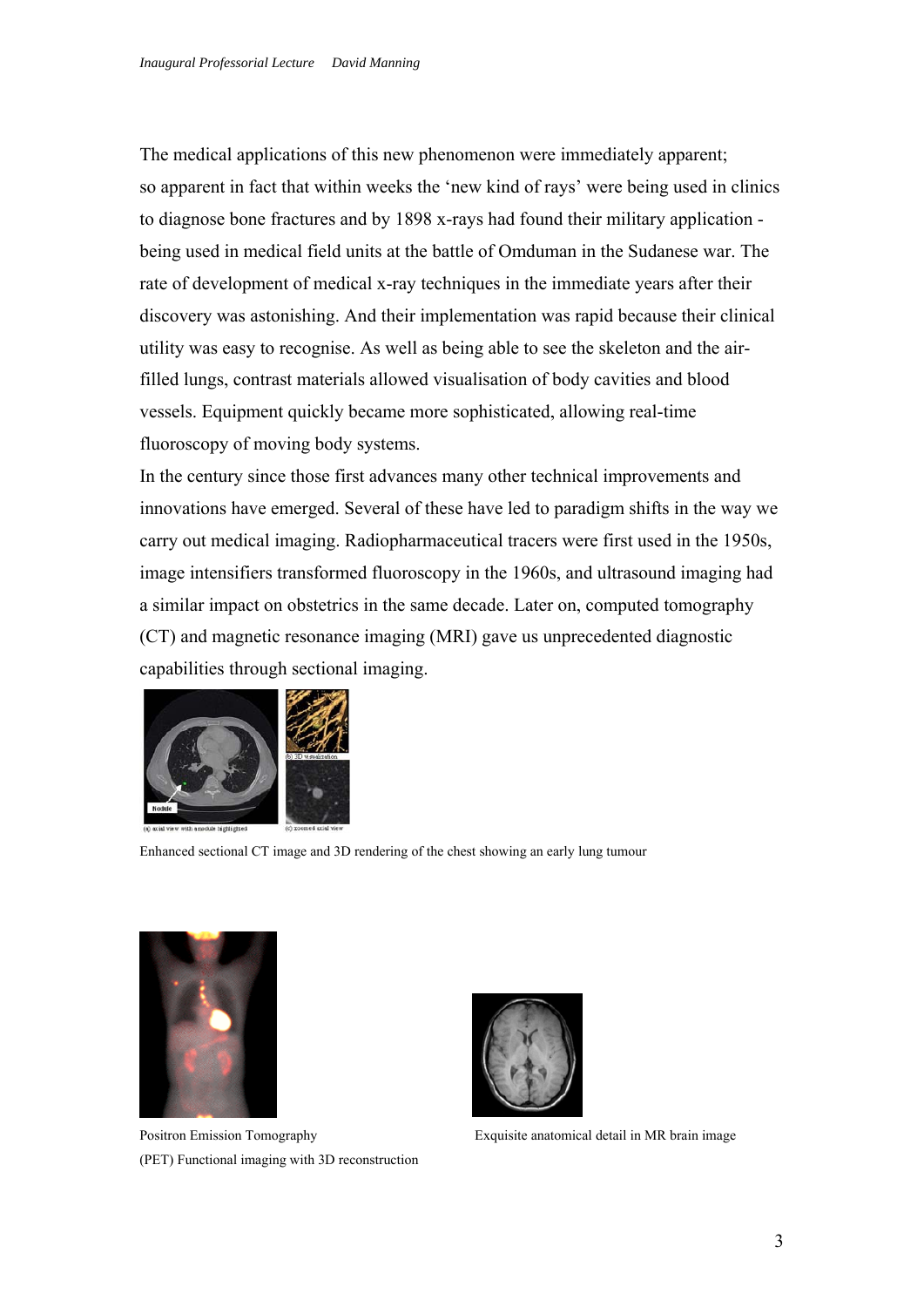The medical applications of this new phenomenon were immediately apparent; so apparent in fact that within weeks the 'new kind of rays' were being used in clinics to diagnose bone fractures and by 1898 x-rays had found their military application being used in medical field units at the battle of Omduman in the Sudanese war. The rate of development of medical x-ray techniques in the immediate years after their discovery was astonishing. And their implementation was rapid because their clinical utility was easy to recognise. As well as being able to see the skeleton and the airfilled lungs, contrast materials allowed visualisation of body cavities and blood vessels. Equipment quickly became more sophisticated, allowing real-time fluoroscopy of moving body systems.

In the century since those first advances many other technical improvements and innovations have emerged. Several of these have led to paradigm shifts in the way we carry out medical imaging. Radiopharmaceutical tracers were first used in the 1950s, image intensifiers transformed fluoroscopy in the 1960s, and ultrasound imaging had a similar impact on obstetrics in the same decade. Later on, computed tomography (CT) and magnetic resonance imaging (MRI) gave us unprecedented diagnostic capabilities through sectional imaging.



Enhanced sectional CT image and 3D rendering of the chest showing an early lung tumour



Positron Emission Tomography Exquisite anatomical detail in MR brain image (PET) Functional imaging with 3D reconstruction

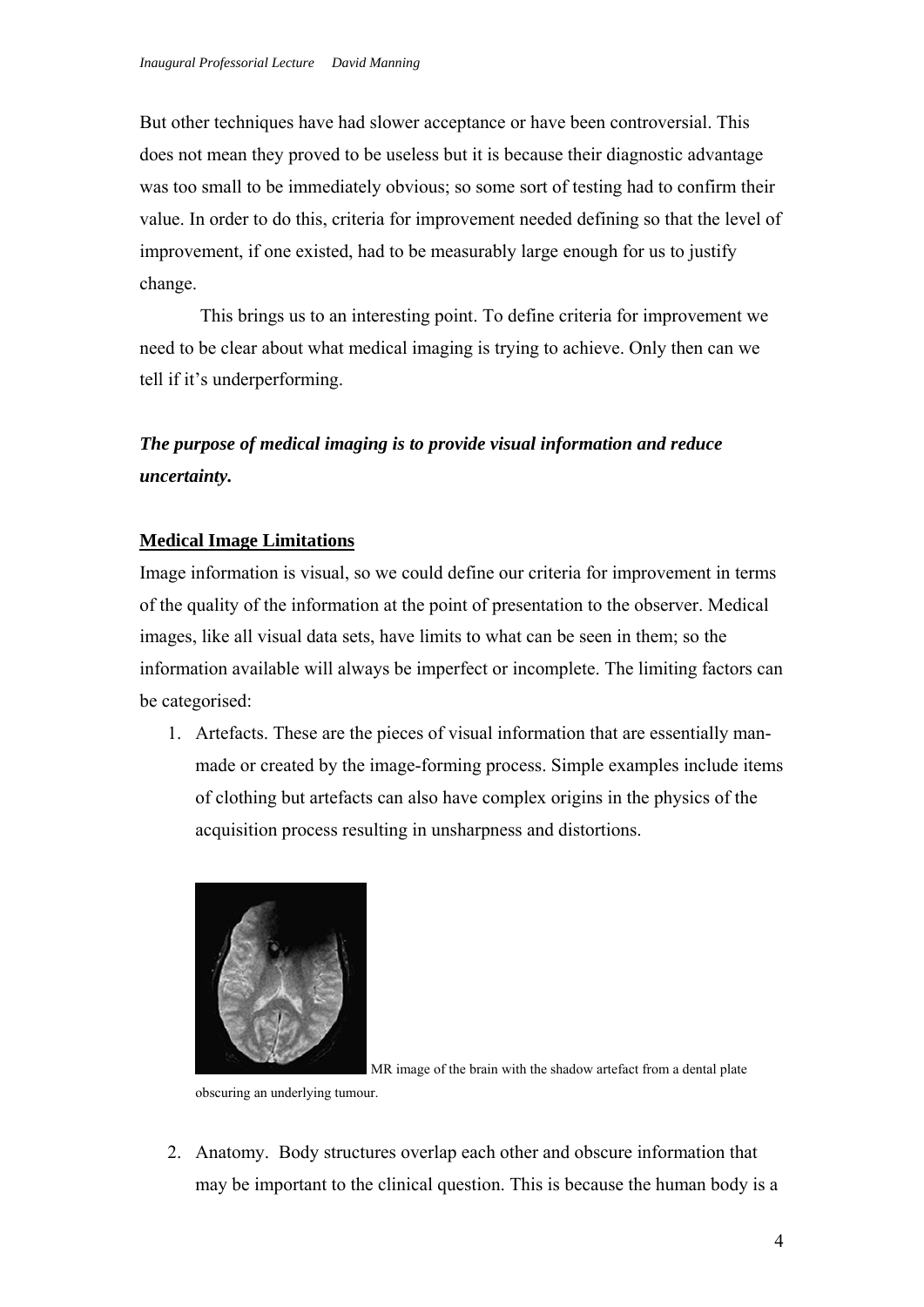But other techniques have had slower acceptance or have been controversial. This does not mean they proved to be useless but it is because their diagnostic advantage was too small to be immediately obvious; so some sort of testing had to confirm their value. In order to do this, criteria for improvement needed defining so that the level of improvement, if one existed, had to be measurably large enough for us to justify change.

 This brings us to an interesting point. To define criteria for improvement we need to be clear about what medical imaging is trying to achieve. Only then can we tell if it's underperforming.

## *The purpose of medical imaging is to provide visual information and reduce uncertainty.*

## **Medical Image Limitations**

Image information is visual, so we could define our criteria for improvement in terms of the quality of the information at the point of presentation to the observer. Medical images, like all visual data sets, have limits to what can be seen in them; so the information available will always be imperfect or incomplete. The limiting factors can be categorised:

1. Artefacts. These are the pieces of visual information that are essentially manmade or created by the image-forming process. Simple examples include items of clothing but artefacts can also have complex origins in the physics of the acquisition process resulting in unsharpness and distortions.



MR image of the brain with the shadow artefact from a dental plate

obscuring an underlying tumour.

2. Anatomy. Body structures overlap each other and obscure information that may be important to the clinical question. This is because the human body is a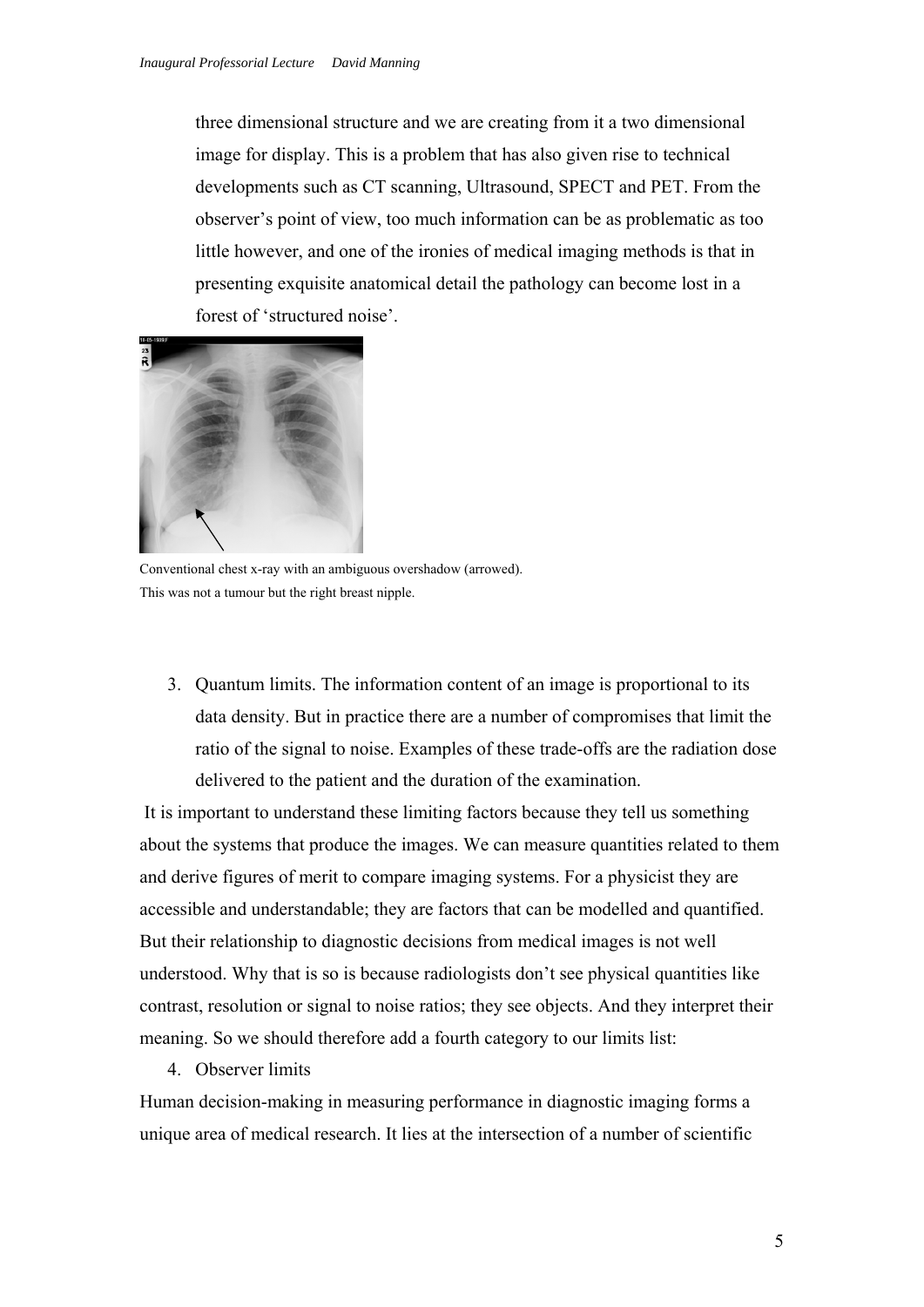three dimensional structure and we are creating from it a two dimensional image for display. This is a problem that has also given rise to technical developments such as CT scanning, Ultrasound, SPECT and PET. From the observer's point of view, too much information can be as problematic as too little however, and one of the ironies of medical imaging methods is that in presenting exquisite anatomical detail the pathology can become lost in a forest of 'structured noise'.



Conventional chest x-ray with an ambiguous overshadow (arrowed). This was not a tumour but the right breast nipple.

3. Quantum limits. The information content of an image is proportional to its data density. But in practice there are a number of compromises that limit the ratio of the signal to noise. Examples of these trade-offs are the radiation dose delivered to the patient and the duration of the examination.

about the systems that produce the images. We can measure quantities related to them contrast, resolution or signal to noise ratios; they see objects. And they interpret their It is important to understand these limiting factors because they tell us something and derive figures of merit to compare imaging systems. For a physicist they are accessible and understandable; they are factors that can be modelled and quantified. But their relationship to diagnostic decisions from medical images is not well understood. Why that is so is because radiologists don't see physical quantities like meaning. So we should therefore add a fourth category to our limits list:

4. Observer limits

Human decision-making in measuring performance in diagnostic imaging forms a unique area of medical research. It lies at the intersection of a number of scientific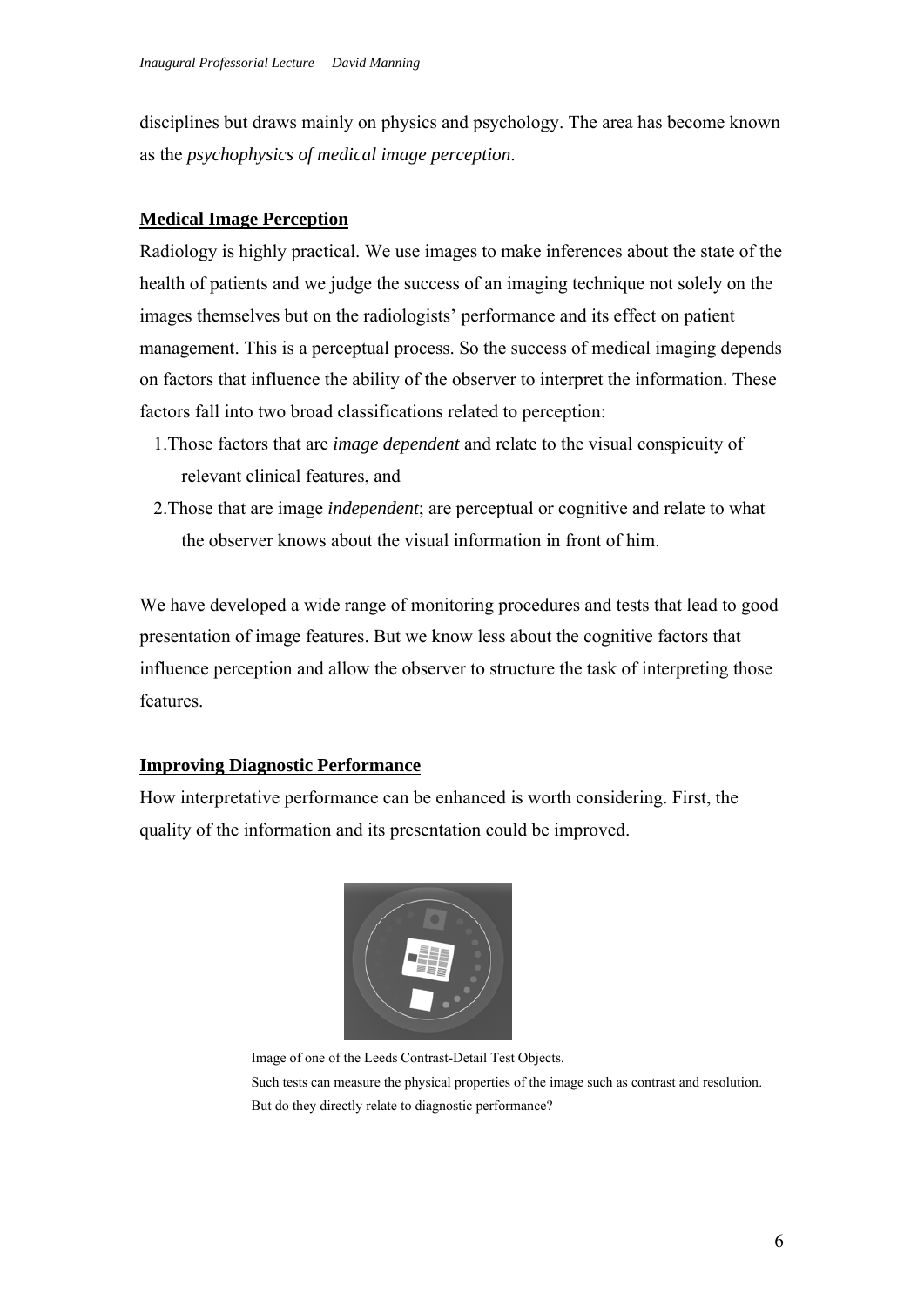disciplines but draws mainly on physics and psychology. The area has become kno wn as the *psychophysics of medical image perception*.

## **Medical Image Perception**

Radiology is highly practical. We use images to make inferences about the state of the health of patients and we judge the success of an imaging technique not solely on the on factors that influence the ability of the observer to interpret the information. These images themselves but on the radiologists' performance and its effect on patient management. This is a perceptual process. So the success of medical imaging depends factors fall into two broad classifications related to perception:

- 1.Those factors that are *image dependent* and relate to the visual conspicuity of relevant clinical features, and
- 2. Those that are image *independent*; are perceptual or cognitive and relate to what the observer knows about the visual information in front of him.

We have developed a wide range of monitoring procedures and tests that lead to good presentation of image features. But we know less about the cognitive factors that influence perception and allow the observer to structure the task of interpreting those features.

## **Improving Diagnostic Performance**

How interpretative performance can be enhanced is worth considering. First, the quality of the information and its presentation could be improved.



Image of one of the Leeds Contrast-Detail Test Objects. Such tests can measure the physical properties of the image such as contrast and resolution. But do they directly relate to diagnostic performance?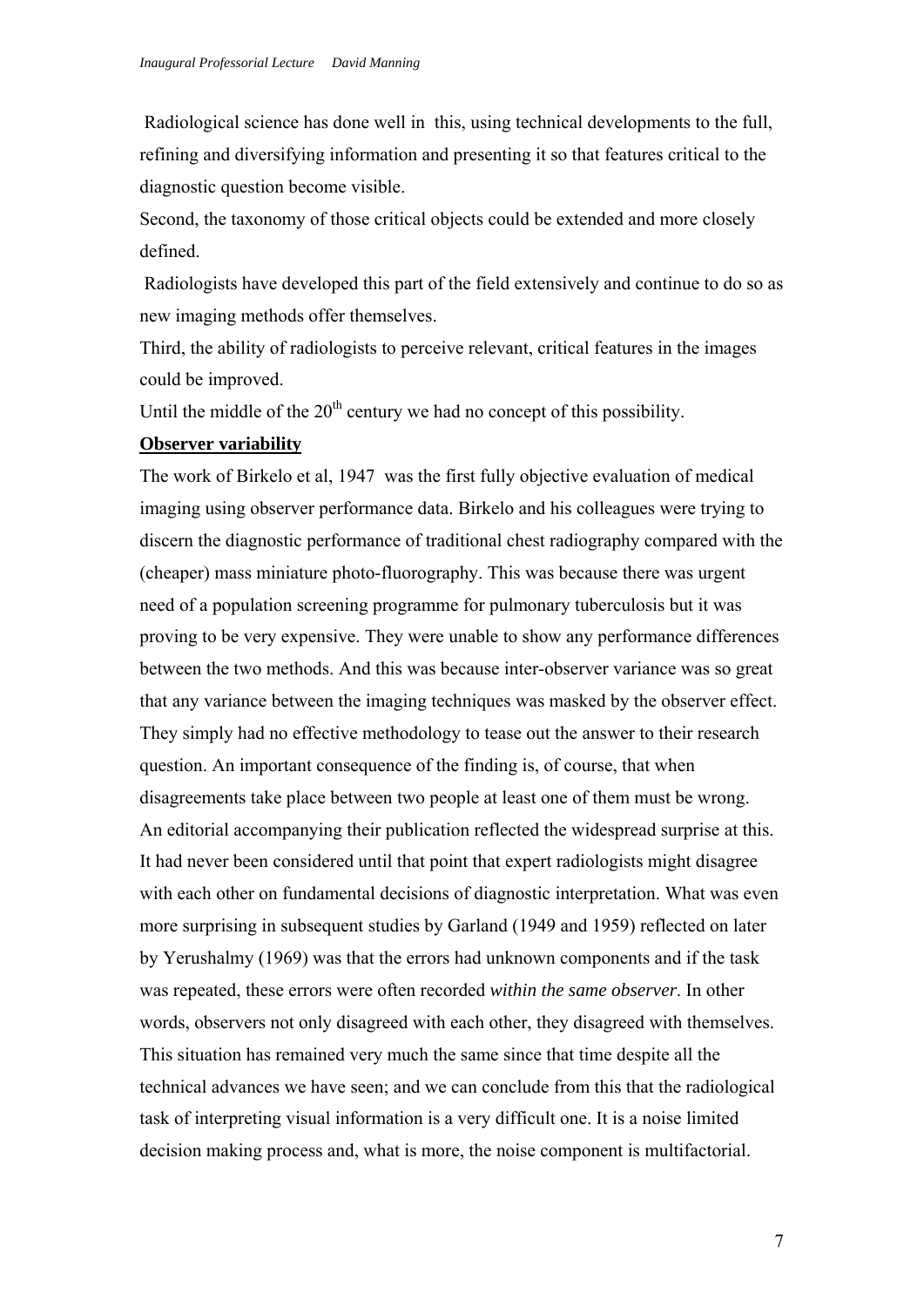Radiological science has done well in this, using technical developments to the full, refining and diversifying information and presenting it so that features critical to the diagnostic question become visible.

Second, the taxonomy of those critical objects could be extended and more closely defined.

Radiologists have developed this part of the field extensively and continue to do so as new imaging methods offer themselves.

Third, the ability of radiologists to perceive relevant, critical features in the images could be improved.

Until the middle of the  $20<sup>th</sup>$  century we had no concept of this possibility.

#### **Observer variability**

The work of Birkelo et al, 1947 was the first fully objective evaluation of medical discern the diagnostic performance of traditional chest radiography compared with the proving to be very expensive. They were unable to show any performance differences disagreements take place between two people at least one of them must be wrong. . An editorial accompanying their publication reflected the widespread surprise at this with each other on fundamental decisions of diagnostic interpretation. What was even words, observers not only disagreed with each other, they disagreed with themselves. technical advances we have seen; and we can conclude from this that the radiological decision making process and, what is more, the noise component is multifactorial. imaging using observer performance data. Birkelo and his colleagues were trying to (cheaper) mass miniature photo-fluorography. This was because there was urgent need of a population screening programme for pulmonary tuberculosis but it was between the two methods. And this was because inter-observer variance was so great that any variance between the imaging techniques was masked by the observer effect. They simply had no effective methodology to tease out the answer to their research question. An important consequence of the finding is, of course, that when It had never been considered until that point that expert radiologists might disagree more surprising in subsequent studies by Garland (1949 and 1959) reflected on later by Yerushalmy (1969) was that the errors had unknown components and if the task was repeated, these errors were often recorded *within the same observer*. In other This situation has remained very much the same since that time despite all the task of interpreting visual information is a very difficult one. It is a noise limited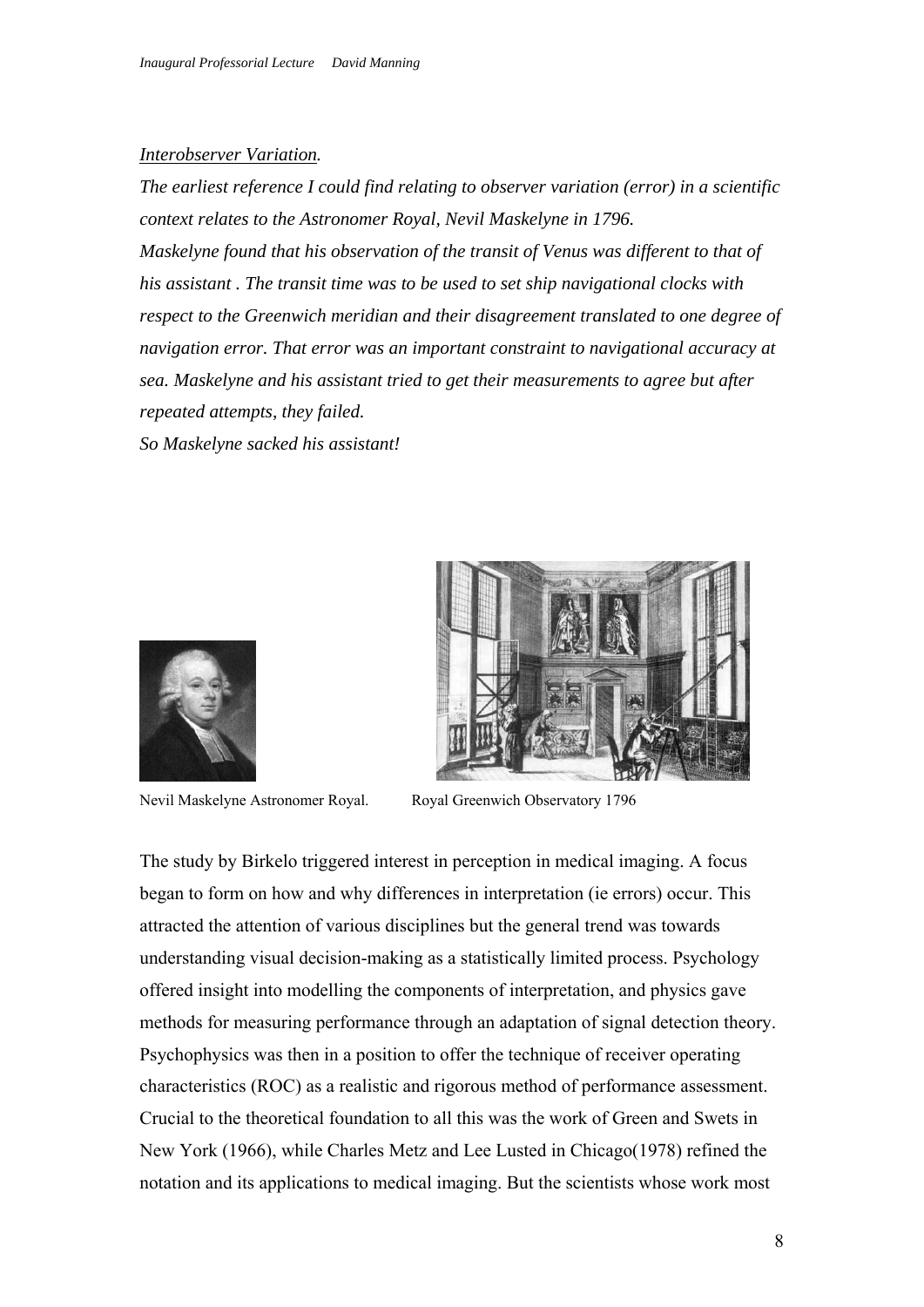## *Interobserver Variation.*

The earliest reference I could find relating to observer variation (error) in a scientific *Maskelyne found that his observation of the transit of Venus was different to that of* respect to the Greenwich meridian and their disagreement translated to one degree of *context relates to the Astronomer Royal, Nevil Maskelyne in 1796. his assistant . The transit time was to be used to set ship navigational clocks with navigation error. That error was an important constraint to navigational accuracy at sea. Maskelyne and his assistant tried to get their measurements to agree but after repeated attempts, they failed.* 

*So Maskelyne sacked his assistant!* 



Nevil Maskelyne Astronomer Royal.



Royal Greenwich Observatory 1796

The study by Birkelo triggered interest in perception in medical imaging. A focus understanding visual decision-making as a statistically limited process. Psychology methods for measuring performance through an adaptation of signal detection theory. characteristics (ROC) as a realistic and rigorous method of performance assessment. notation and its applications to medical imaging. But the scientists whose work most began to form on how and why differences in interpretation (ie errors) occur. This attracted the attention of various disciplines but the general trend was towards offered insight into modelling the components of interpretation, and physics gave Psychophysics was then in a position to offer the technique of receiver operating Crucial to the theoretical foundation to all this was the work of Green and Swets in New York (1966), while Charles Metz and Lee Lusted in Chicago(1978) refined the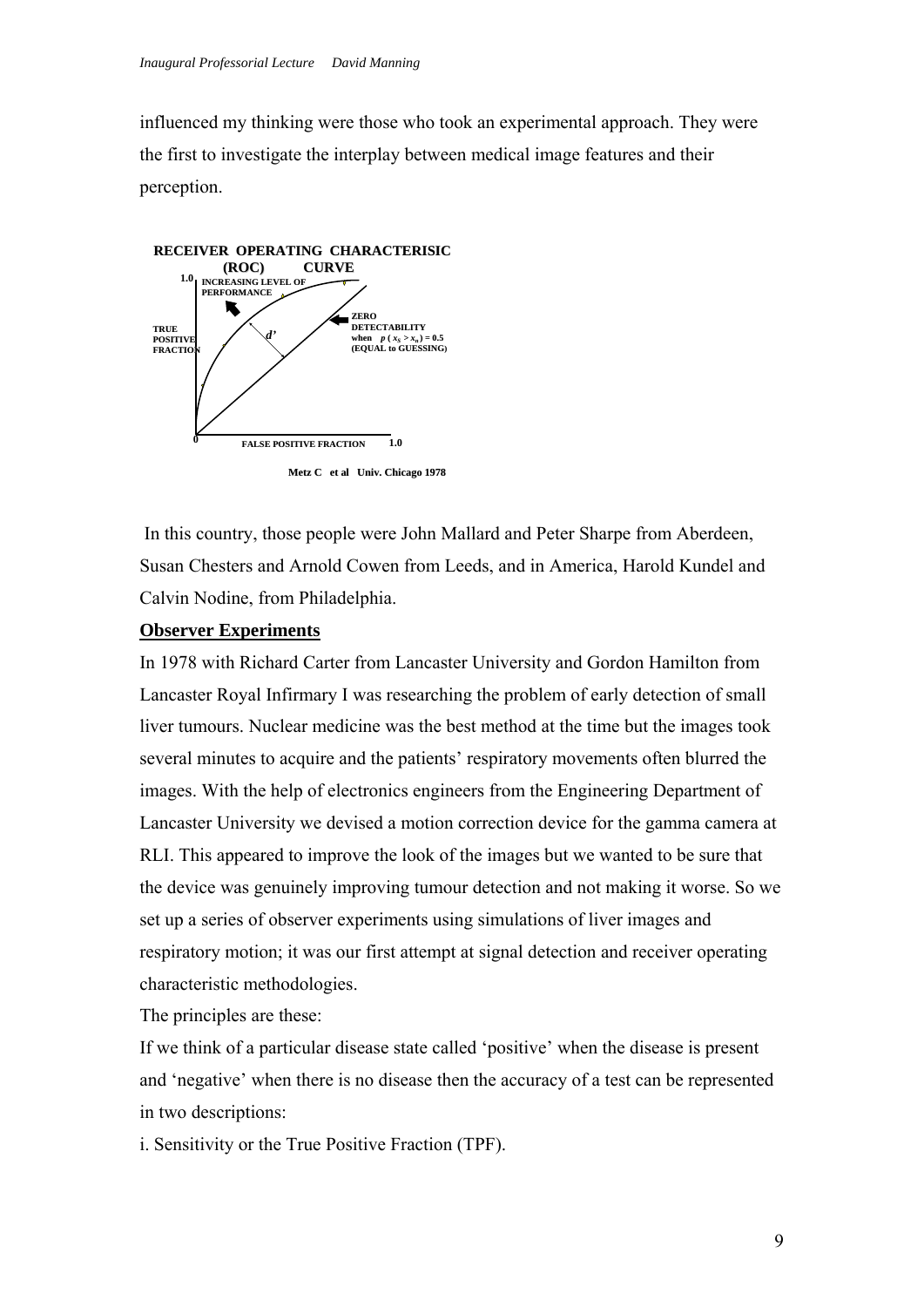influenced my thinking were those who took an experimental approach. They were the first to investigate the interplay between medical image features and their perception.



 In this country, those people were John Mallard and Peter Sharpe from Aberdeen, Susan Chesters and Arnold Cowen from Leeds, and in America, Harold Kundel and Calvin Nodine, from Philadelphia.

## **Observer Experiments**

In 1978 with Richard Carter from Lancaster University and Gordon Hamilton from Lancaster Royal Infirmary I was researching the problem of early detection of small liver tumours. Nuclear medicine was the best method at the time but the images took several minutes to acquire and the patients' respiratory movements often blurred the images. With the help of electronics engineers from the Engineering Department of Lancaster University we devised a motion correction device for the gamma camera at RLI. This appeared to improve the look of the images but we wanted to be sure that the device was genuinely improving tumour detection and not making it worse. So we set up a series of observer experiments using simulations of liver images and respiratory motion; it was our first attempt at signal detection and receiver operating characteristic methodologies.

The principles are these:

If we think of a particular disease state called 'positive' when the disease is present and 'negative' when there is no disease then the accuracy of a test can be represented in two descriptions:

i. Sensitivity or the True Positive Fraction (TPF).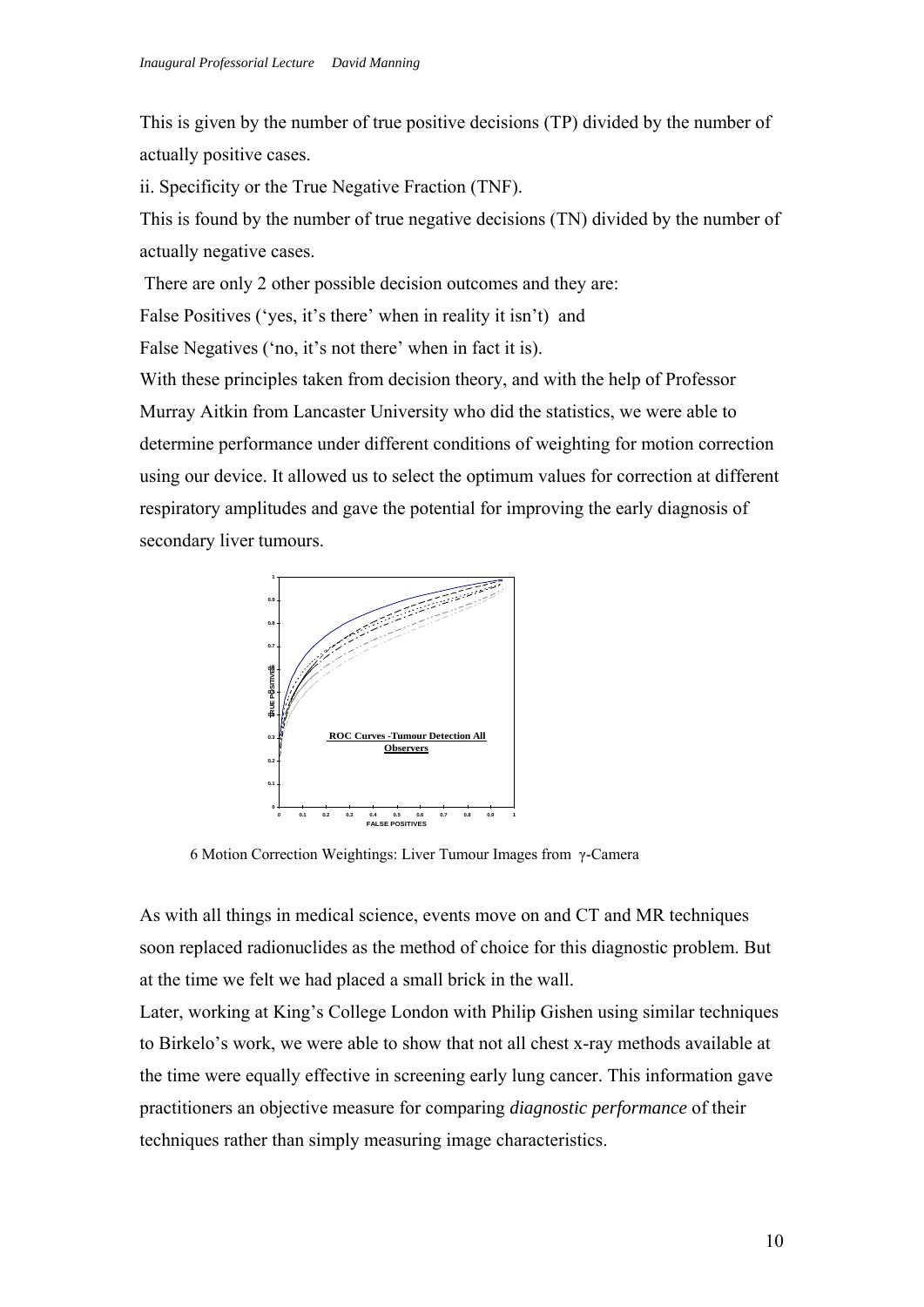This is given by the number of true positive decisions (TP) divided by the number of actually positive cases.

ii. Specificity or the True Negative Fraction (TNF).

This is found by the number of true negative decisions (TN) divided by the number of actually negative cases.

There are only 2 other possible decision outcomes and they are:

False Positives ('yes, it's there' when in reality it isn't) and

False Negatives ('no, it's not there' when in fact it is).

With these principles taken from decision theory, and with the help of Professor determine performance under different conditions of weighting for motion correction Murray Aitkin from Lancaster University who did the statistics, we were able to using our device. It allowed us to select the optimum values for correction at different respiratory amplitudes and gave the potential for improving the early diagnosis of secondary liver tumours.



6 Motion Correction Weightings: Liver Tumour Images from γ-Camera

As with all things in medical science, events move on and CT and MR techniques soon replaced radionuclides as the method of choice for this diagnostic problem. But at the time we felt we had placed a small brick in the wall.

Later, working at King's College London with Philip Gishen using similar techniques to Birkelo's work, we were able to show that not all chest x-ray methods available at the time were equally effective in screening early lung cancer. This information gave practitioners an objective measure for comparing *diagnostic performance* of their techniques rather than simply measuring image characteristics.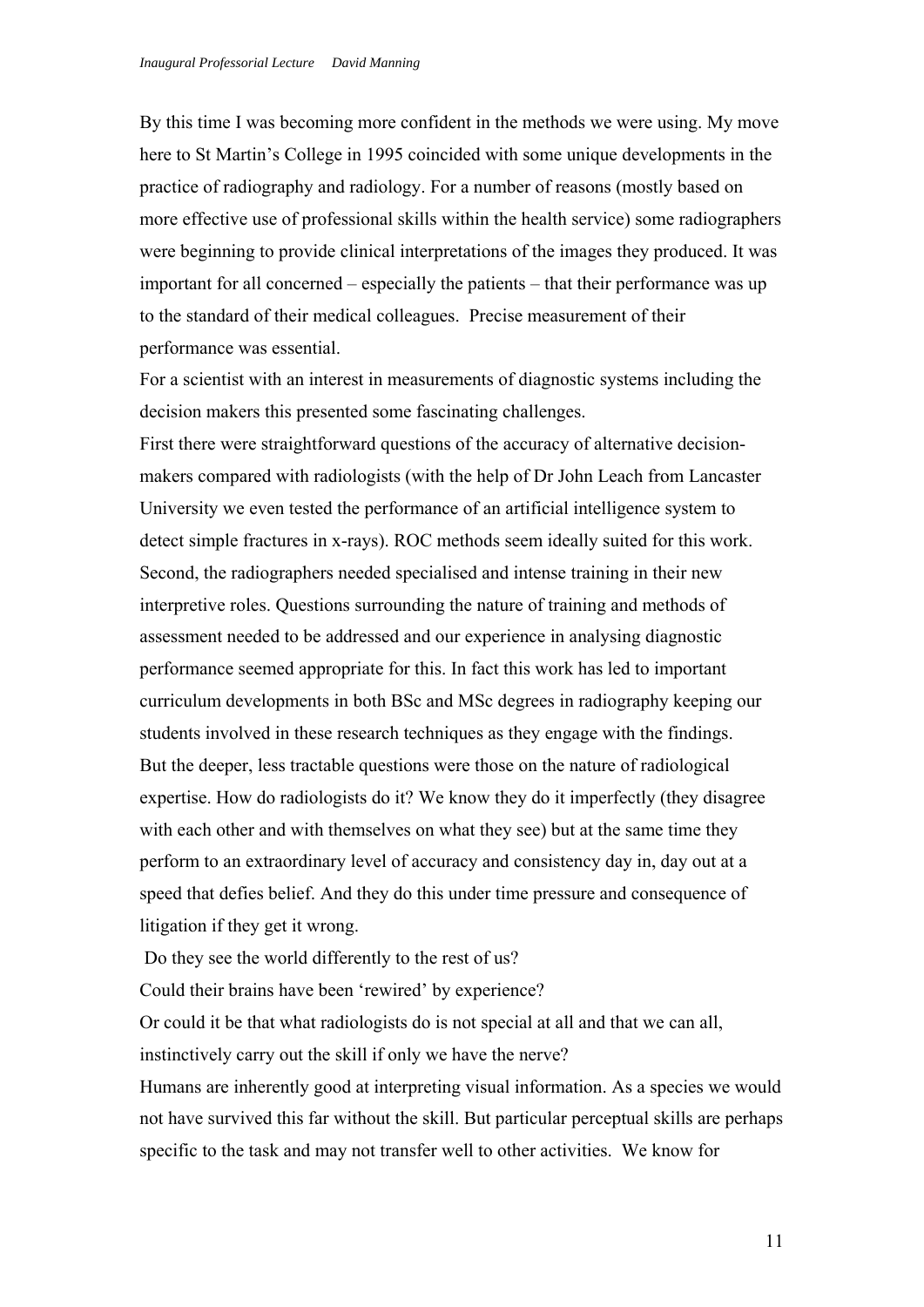By this time I was becoming more confident in the methods we were using. My move here to St Martin's College in 1995 coincided with some unique developments in the practice of radiography and radiology. For a number of reasons (mostly based on more effective use of professional skills within the health service) some radiographers were beginning to provide clinical interpretations of the images they produced. It was important for all concerned – especially the patients – that their performance was up to the standard of their medical colleagues. Precise measurement of their performance was essential.

For a scientist with an interest in measurements of diagnostic systems including the decision makers this presented some fascinating challenges.

First there were straightforward questions of the accuracy of alternative decisionmakers compared with radiologists (with the help of Dr John Leach from Lancaster University we even tested the performance of an artificial intelligence system to detect simple fractures in x-rays). ROC methods seem ideally suited for this work. Second, the radiographers needed specialised and intense training in their new interpretive roles. Questions surrounding the nature of training and methods of assessment needed to be addressed and our experience in analysing diagnostic performance seemed appropriate for this. In fact this work has led to important curriculum developments in both BSc and MSc degrees in radiography keeping our students involved in these research techniques as they engage with the findings. But the deeper, less tractable questions were those on the nature of radiological expertise. How do radiologists do it? We know they do it imperfectly (they disagree with each other and with themselves on what they see) but at the same time they perform to an extraordinary level of accuracy and consistency day in, day out at a speed that defies belief. And they do this under time pressure and consequence of litigation if they get it wrong.

Do they see the world differently to the rest of us?

Could their brains have been 'rewired' by experience?

Or could it be that what radiologists do is not special at all and that we can all, instinctively carry out the skill if only we have the nerve?

Humans are inherently good at interpreting visual information. As a species we would not have survived this far without the skill. But particular perceptual skills are perhaps specific to the task and may not transfer well to other activities. We know for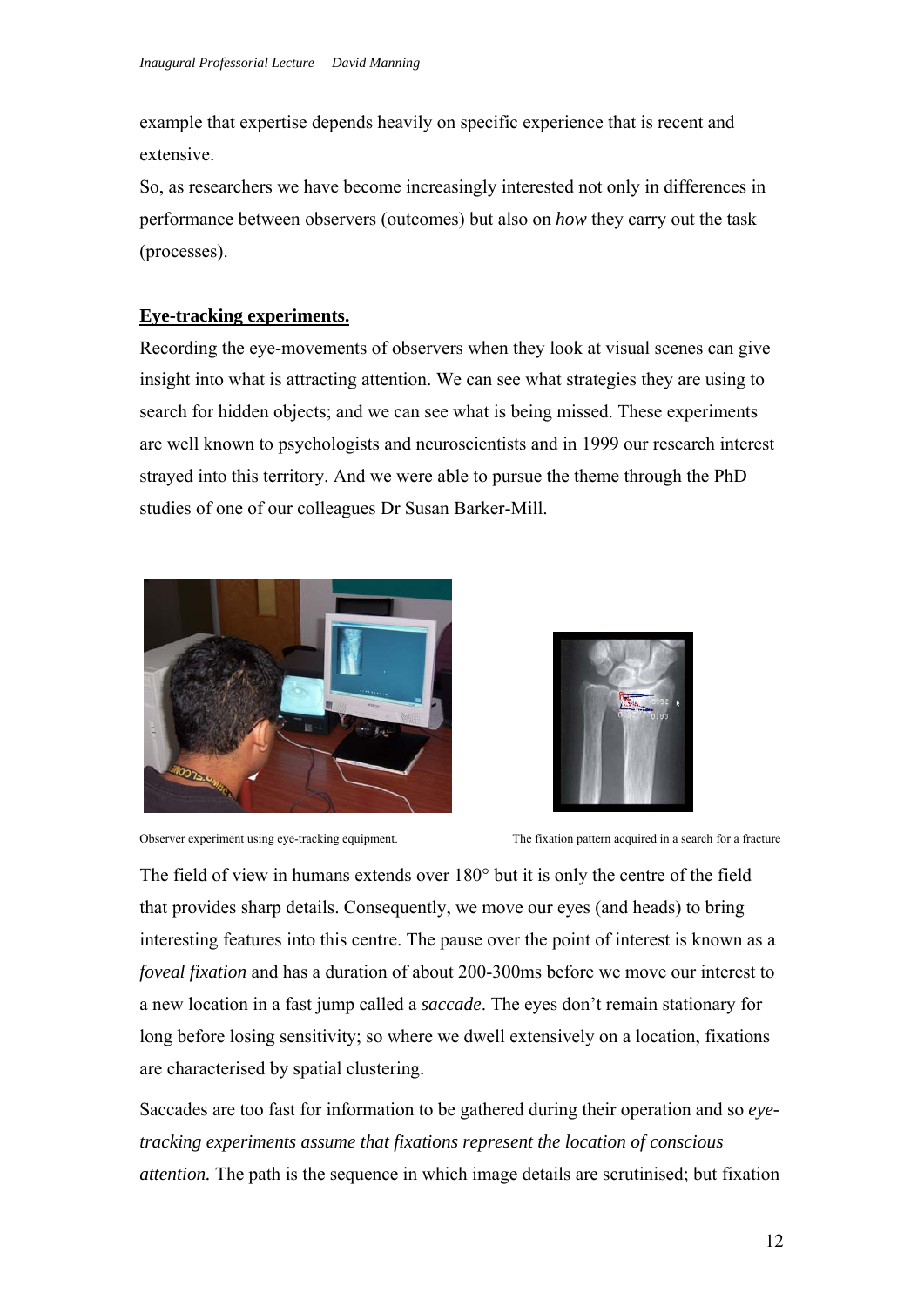example that expertise depends heavily on specific experience that is recent and extensive.

So, as researchers we have become increasingly interested not only in differences in performance between observers (outcomes) but also on *how* they carry out the task (processes).

## **Eye-tracking experiments.**

Recording the eye-movements of observers when they look at visual scenes can give insight into what is attracting attention. We can see what strategies they are using to search for hidden objects; and we can see what is being missed. These experiments are well known to psychologists and neuroscientists and in 1999 our research interest strayed into this territory. And we were able to pursue the theme through the PhD studies of one of our colleagues Dr Susan Barker-Mill.





Observer experiment using eye-tracking equipment. The fixation pattern acquired in a search for a fracture

The field of view in humans extends over 180° but it is only the centre of the field that provides sharp details. Consequently, we move our eyes (and heads) to bring interesting features into this centre. The pause over the point of interest is known as a *foveal fixation* and has a duration of about 200-300ms before we move our interest to a new location in a fast jump called a *saccade*. The eyes don't remain stationary for long before losing sensitivity; so where we dwell extensively on a location, fixations are characterised by spatial clustering.

Saccades are too fast for information to be gathered during their operation and so *eyetracking experiments assume that fixations represent the location of conscious attention.* The path is the sequence in which image details are scrutinised; but fixation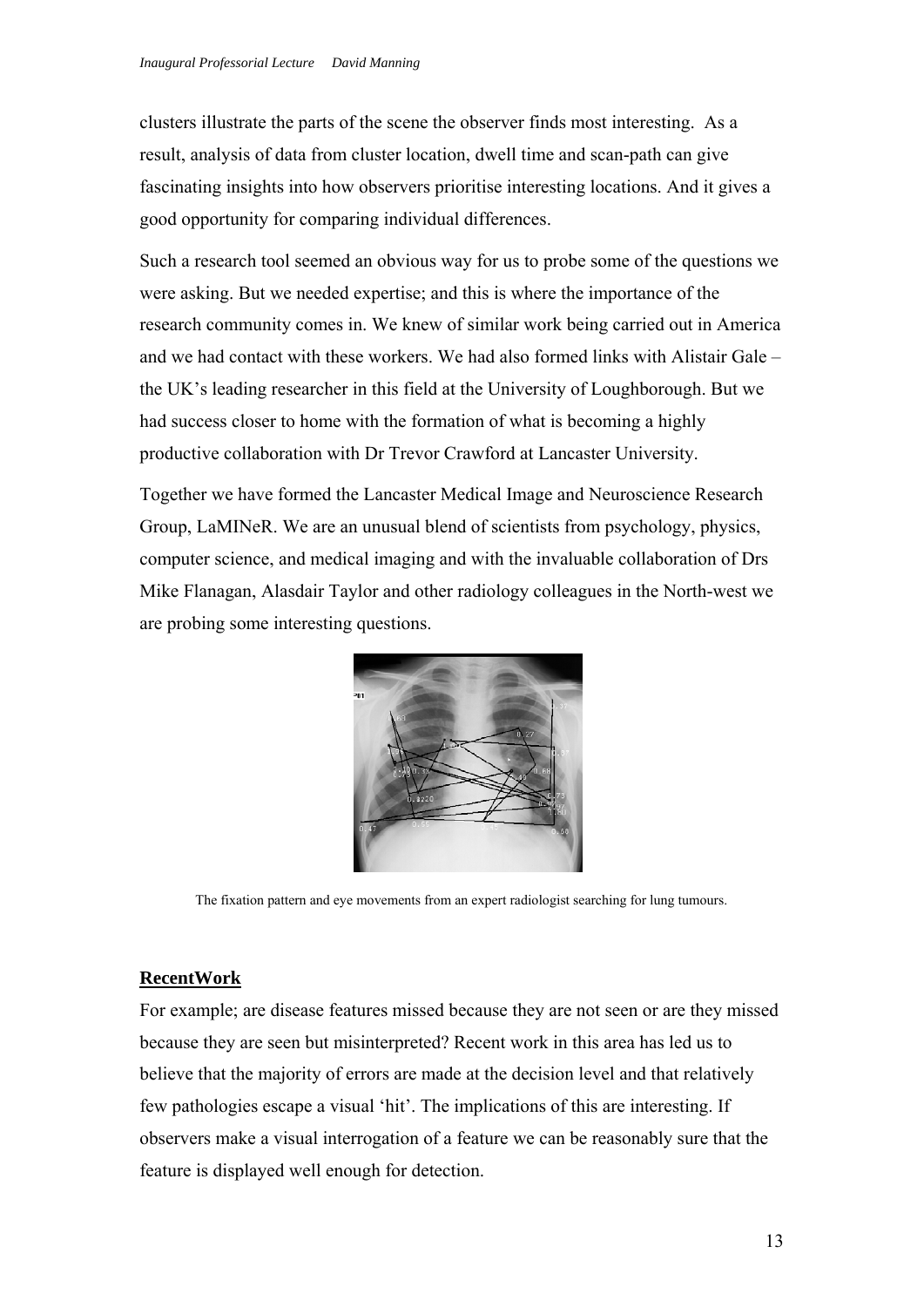clusters illustrate the parts of the scene the observer finds most interesting. As a result, analysis of data from cluster location, dwell time and scan-path can give fascinating insights into how observers prioritise interesting locations. And it gives a good opportunity for comparing individual differences.

Such a research tool seemed an obvious way for us to probe some of the questions we were asking. But we needed expertise; and this is where the importance of the research community comes in. We knew of similar work being carried out in America and we had contact with these workers. We had also formed links with Alistair Gale – the UK's leading researcher in this field at the University of Loughborough. But we had success closer to home with the formation of what is becoming a highly productive collaboration with Dr Trevor Crawford at Lancaster University.

Together we have formed the Lancaster Medical Image and Neuroscience Research Group, LaMINeR. We are an unusual blend of scientists from psychology, physics, computer science, and medical imaging and with the invaluable collaboration of Drs Mike Flanagan, Alasdair Taylor and other radiology colleagues in the North-west we are probing some interesting questions.



The fixation pattern and eye movements from an expert radiologist searching for lung tumours.

#### **RecentWork**

For example; are disease features missed because they are not seen or are they missed because they are seen but misinterpreted? Recent work in this area has led us to believe that the majority of errors are made at the decision level and that relatively few pathologies escape a visual 'hit'. The implications of this are interesting. If observers make a visual interrogation of a feature we can be reasonably sure that the feature is displayed well enough for detection.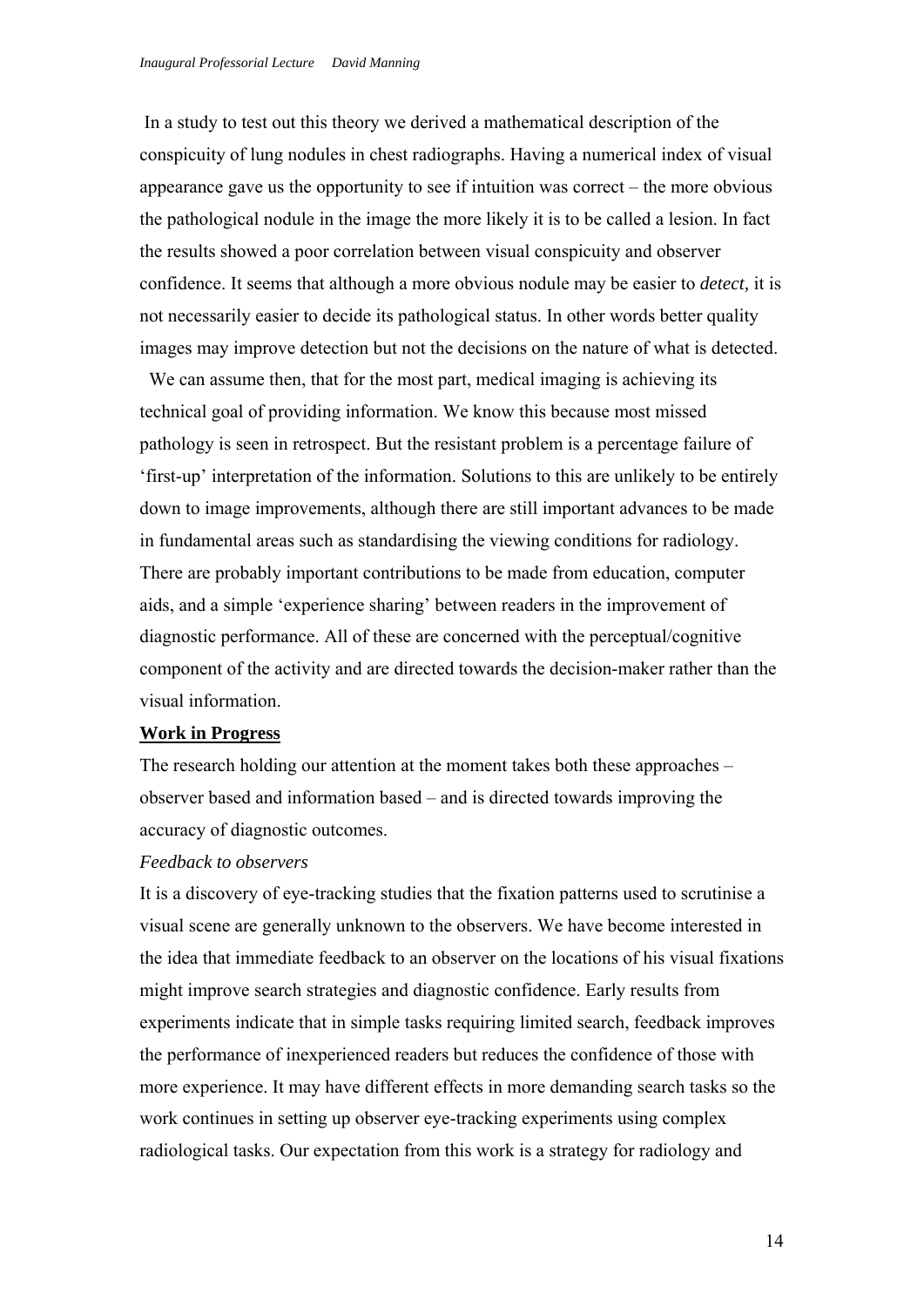In a study to test out this theory we derived a mathematical description of the conspicuity of lung nodules in chest radiographs. Having a numerical index of visual appearance gave us the opportunity to see if intuition was correct – the more obvious the pathological nodule in the image the more likely it is to be called a lesion. In fact the results showed a poor correlation between visual conspicuity and observer confidence. It seems that although a more obvious nodule may be easier to *detect,* it is not necessarily easier to decide its pathological status. In other words better quality images may improve detection but not the decisions on the nature of what is detected.

 We can assume then, that for the most part, medical imaging is achieving its technical goal of providing information. We know this because most missed pathology is seen in retrospect. But the resistant problem is a percentage failure of 'first-up' interpretation of the information. Solutions to this are unlikely to be entirely down to image improvements, although there are still important advances to be made in fundamental areas such as standardising the viewing conditions for radiology. There are probably important contributions to be made from education, computer aids, and a simple 'experience sharing' between readers in the improvement of diagnostic performance. All of these are concerned with the perceptual/cognitive component of the activity and are directed towards the decision-maker rather than the visual information.

#### **Work in Progress**

The research holding our attention at the moment takes both these approaches – observer based and information based – and is directed towards improving the accuracy of diagnostic outcomes.

#### *Feedback to observers*

It is a discovery of eye-tracking studies that the fixation patterns used to scrutinise a visual scene are generally unknown to the observers. We have become interested in the idea that immediate feedback to an observer on the locations of his visual fixations might improve search strategies and diagnostic confidence. Early results from experiments indicate that in simple tasks requiring limited search, feedback improves the performance of inexperienced readers but reduces the confidence of those with more experience. It may have different effects in more demanding search tasks so the work continues in setting up observer eye-tracking experiments using complex radiological tasks. Our expectation from this work is a strategy for radiology and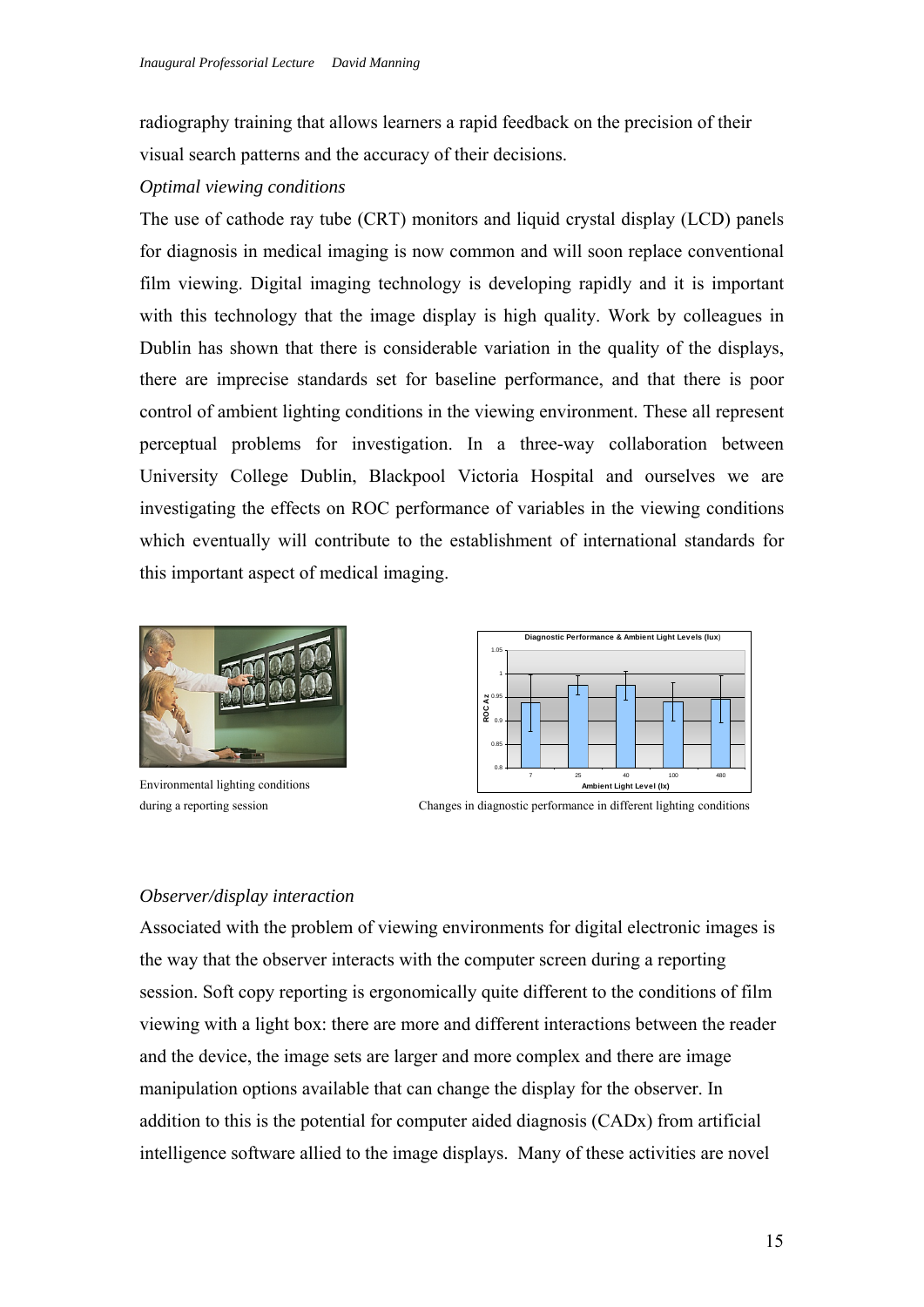radiography training that allows learners a rapid feedback on the precision of their visual search patterns and the accuracy of their decisions.

## *Optimal viewing conditions*

The use of cathode ray tube (CRT) monitors and liquid crystal display (LCD) panels for diagnosis in medical imaging is now common and will soon replace conventional film viewing. Digital imaging technology is developing rapidly and it is important with this technology that the image display is high quality. Work by colleagues in Dublin has shown that there is considerable variation in the quality of the displays, there are imprecise standards set for baseline performance, and that there is poor control of ambient lighting conditions in the viewing environment. These all represent perceptual problems for investigation. In a three-way collaboration between University College Dublin, Blackpool Victoria Hospital and ourselves we are investigating the effects on ROC performance of variables in the viewing conditions which eventually will contribute to the establishment of international standards for this important aspect of medical imaging.



Environmental lighting conditions



during a reporting session Changes in diagnostic performance in different lighting conditions

## *Observer/display interaction*

Associated with the problem of viewing environments for digital electronic images is the way that the observer interacts with the computer screen during a reporting session. Soft copy reporting is ergonomically quite different to the conditions of film viewing with a light box: there are more and different interactions between the reader and the device, the image sets are larger and more complex and there are image manipulation options available that can change the display for the observer. In addition to this is the potential for computer aided diagnosis (CADx) from artificial intelligence software allied to the image displays. Many of these activities are novel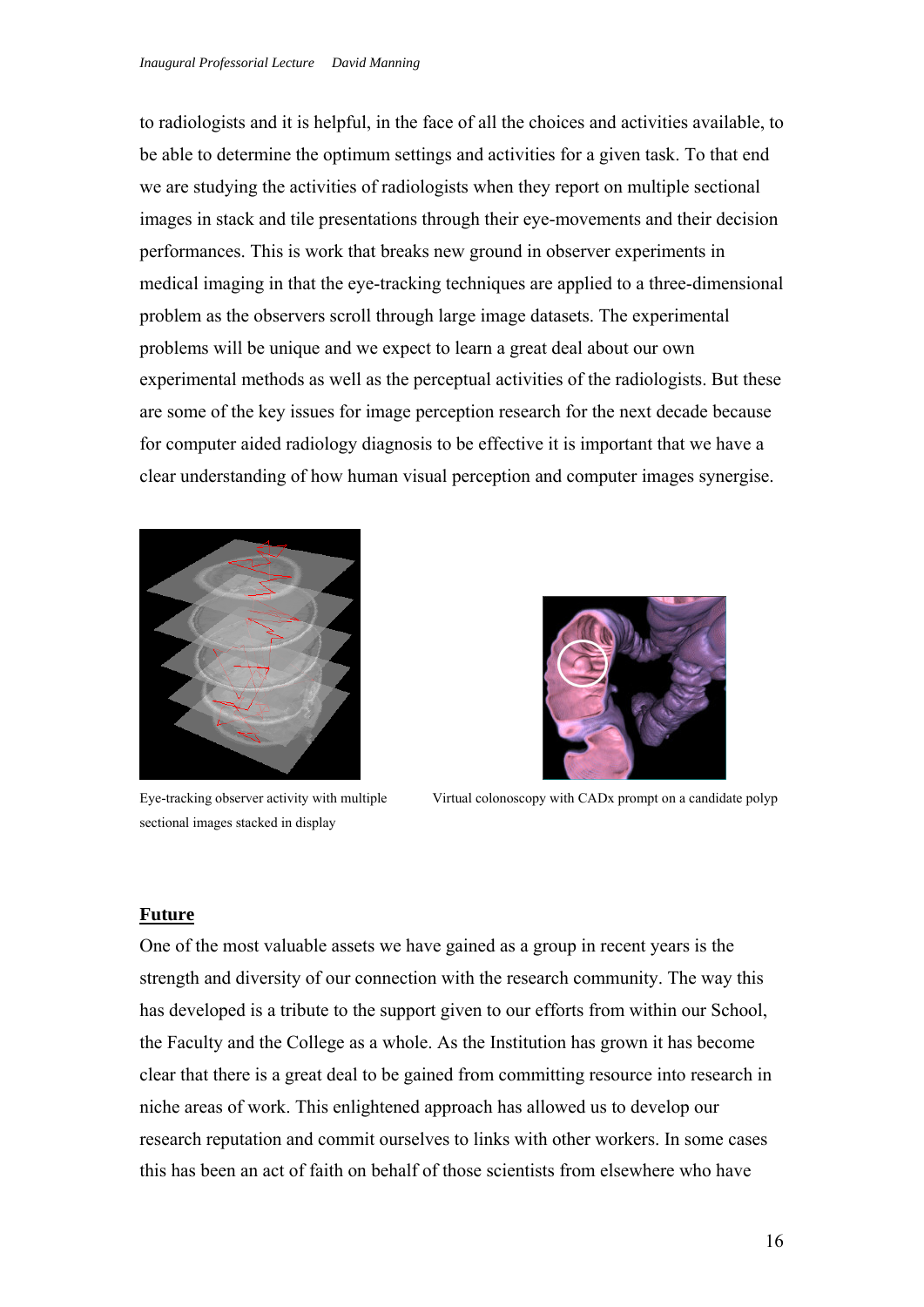to radiologists and it is helpful, in the face of all the choices and activities available, to be able to determine the optimum settings and activities for a given task. To that end we are studying the activities of radiologists when they report on multiple sectional images in stack and tile presentations through their eye-movements and their decision performances. This is work that breaks new ground in observer experiments in medical imaging in that the eye-tracking techniques are applied to a three-dimensional problem as the observers scroll through large image datasets. The experimental problems will be unique and we expect to learn a great deal about our own experimental methods as well as the perceptual activities of the radiologists. But these are some of the key issues for image perception research for the next decade because for computer aided radiology diagnosis to be effective it is important that we have a clear understanding of how human visual perception and computer images synergise.



sectional images stacked in display



Eye-tracking observer activity with multiple Virtual colonoscopy with CADx prompt on a candidate polyp

## **Future**

One of the most valuable assets we have gained as a group in recent years is the strength and diversity of our connection with the research community. The way this has developed is a tribute to the support given to our efforts from within our School, the Faculty and the College as a whole. As the Institution has grown it has become clear that there is a great deal to be gained from committing resource into research in niche areas of work. This enlightened approach has allowed us to develop our research reputation and commit ourselves to links with other workers. In some cases this has been an act of faith on behalf of those scientists from elsewhere who have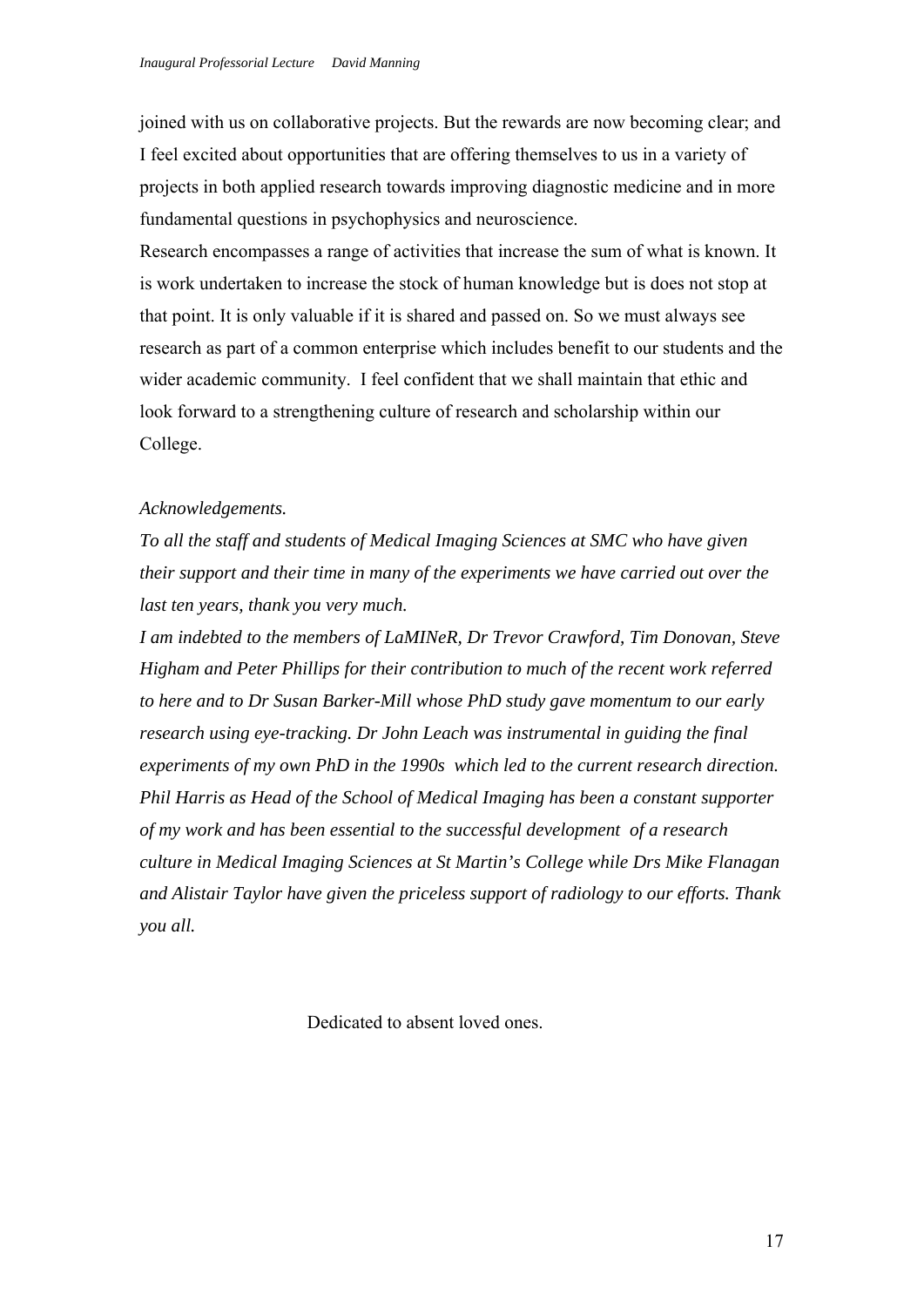joined with us on collaborative projects. But the rewards are now becoming clear; and I feel excited about opportunities that are offering themselves to us in a variety of projects in both applied research towards improving diagnostic medicine and in more fundamental questions in psychophysics and neuroscience.

Research encompasses a range of activities that increase the sum of what is known. It is work undertaken to increase the stock of human knowledge but is does not stop at that point. It is only valuable if it is shared and passed on. So we must always see research as part of a common enterprise which includes benefit to our students and the wider academic community. I feel confident that we shall maintain that ethic and look forward to a strengthening culture of research and scholarship within our College.

#### *Acknowledgements.*

*To all the staff and students of Medical Imaging Sciences at SMC who have given their support and their time in many of the experiments we have carried out over the last ten years, thank you very much.* 

*I am indebted to the members of LaMINeR, Dr Trevor Crawford, Tim Donovan, Steve Higham and Peter Phillips for their contribution to much of the recent work referred to here and to Dr Susan Barker-Mill whose PhD study gave momentum to our early research using eye-tracking. Dr John Leach was instrumental in guiding the final experiments of my own PhD in the 1990s which led to the current research direction. Phil Harris as Head of the School of Medical Imaging has been a constant supporter of my work and has been essential to the successful development of a research culture in Medical Imaging Sciences at St Martin's College while Drs Mike Flanagan and Alistair Taylor have given the priceless support of radiology to our efforts. Thank you all.* 

Dedicated to absent loved ones.

17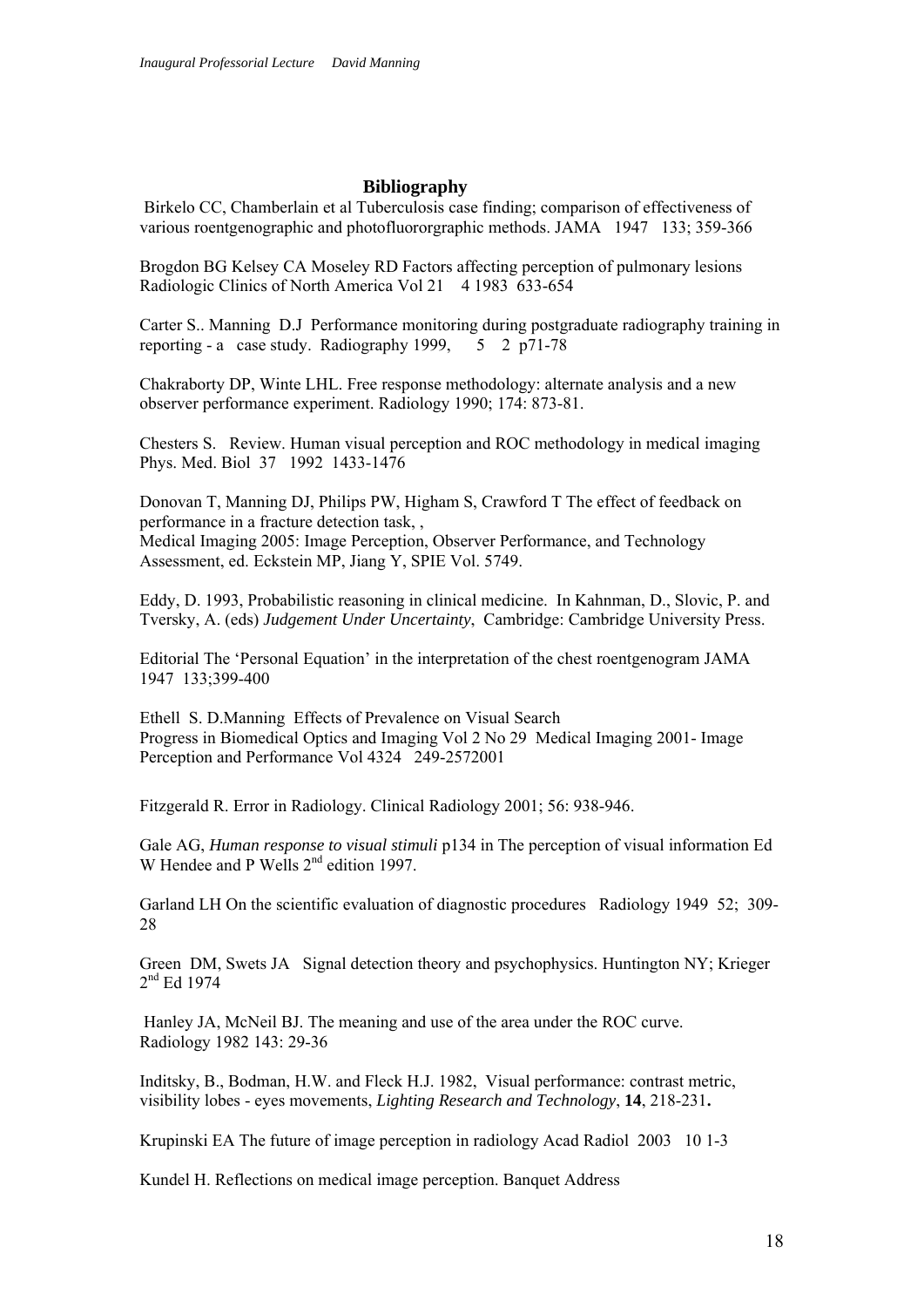#### **Bibliography**

 Birkelo CC, Chamberlain et al Tuberculosis case finding; comparison of effectiveness of various roentgenographic and photofluororgraphic methods. JAMA 1947 133; 359-366

Brogdon BG Kelsey CA Moseley RD Factors affecting perception of pulmonary lesions Radiologic Clinics of North America Vol 21 4 1983 633-654

Carter S.. Manning D.J Performance monitoring during postgraduate radiography training in reporting - a case study. Radiography 1999, 5 2 p71-78

Chakraborty DP, Winte LHL. Free response methodology: alternate analysis and a new observer performance experiment. Radiology 1990; 174: 873-81.

Chesters S. Review. Human visual perception and ROC methodology in medical imaging Phys. Med. Biol 37 1992 1433-1476

Donovan T, Manning DJ, Philips PW, Higham S, Crawford T The effect of feedback on performance in a fracture detection task, , Medical Imaging 2005: Image Perception, Observer Performance, and Technology Assessment, ed. Eckstein MP, Jiang Y, SPIE Vol. 5749.

Eddy, D. 1993, Probabilistic reasoning in clinical medicine. In Kahnman, D., Slovic, P. and Tversky, A. (eds) *Judgement Under Uncertainty*, Cambridge: Cambridge University Press.

Editorial The 'Personal Equation' in the interpretation of the chest roentgenogram JAMA 1947 133;399-400

Ethell S. D.Manning Effects of Prevalence on Visual Search Progress in Biomedical Optics and Imaging Vol 2 No 29 Medical Imaging 2001- Image Perception and Performance Vol 4324 249-2572001

Fitzgerald R. Error in Radiology. Clinical Radiology 2001; 56: 938-946.

Gale AG, *Human response to visual stimuli* p134 in The perception of visual information Ed W Hendee and P Wells  $2^{nd}$  edition 1997.

Garland LH On the scientific evaluation of diagnostic procedures Radiology 1949 52; 309- 28

Green DM, Swets JA Signal detection theory and psychophysics. Huntington NY; Krieger  $2<sup>nd</sup>$  Ed 1974

 Hanley JA, McNeil BJ. The meaning and use of the area under the ROC curve. Radiology 1982 143: 29-36

Inditsky, B., Bodman, H.W. and Fleck H.J. 1982, Visual performance: contrast metric, visibility lobes - eyes movements, *Lighting Research and Technology*, **14**, 218-231**.** 

Krupinski EA The future of image perception in radiology Acad Radiol 2003 10 1-3

Kundel H. Reflections on medical image perception. Banquet Address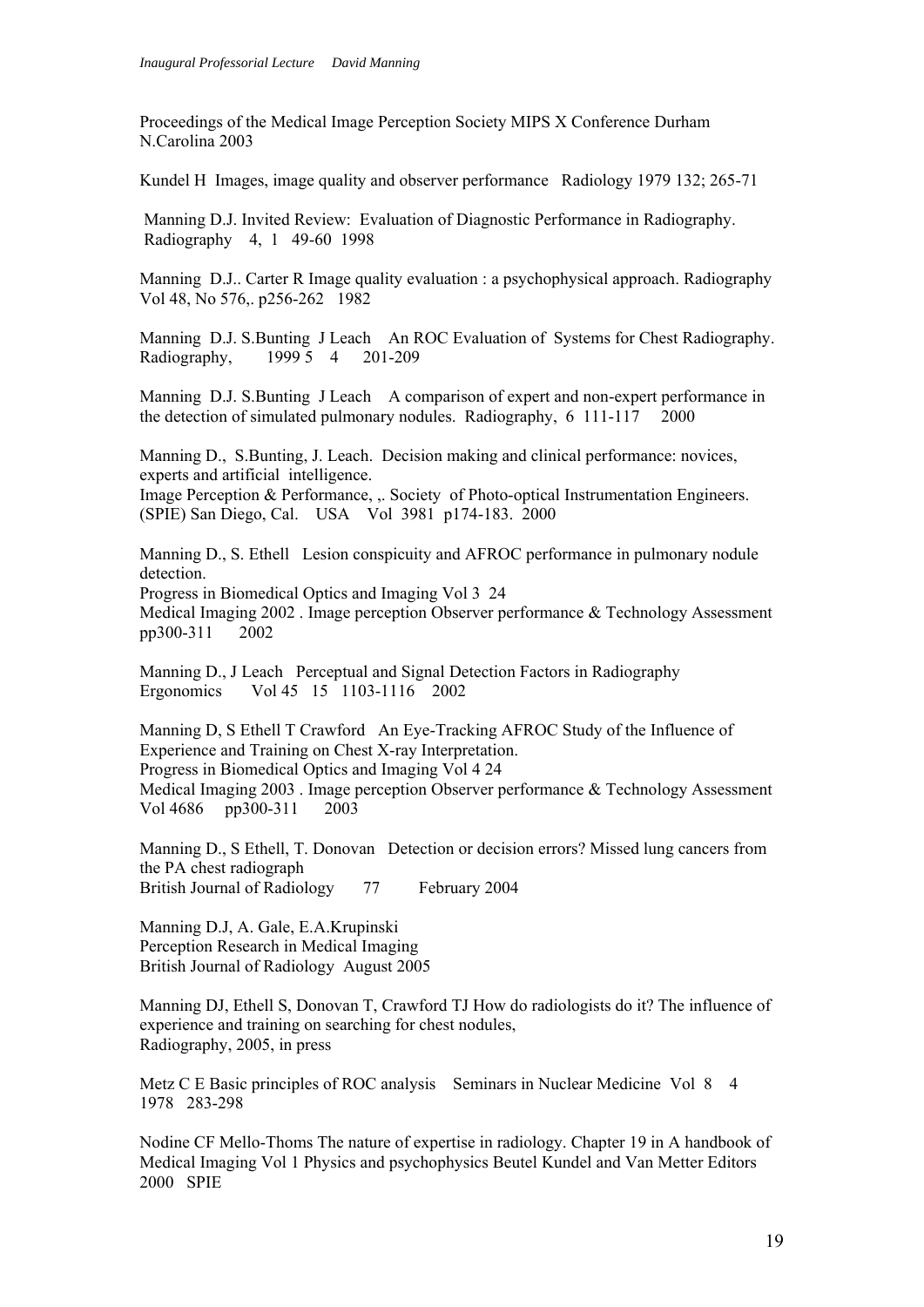Proceedings of the Medical Image Perception Society MIPS X Conference Durham N.Carolina 2003

Kundel H Images, image quality and observer performance Radiology 1979 132; 265-71

 Manning D.J. Invited Review: Evaluation of Diagnostic Performance in Radiography. Radiography 4, 1 49-60 1998

Manning D.J.. Carter R Image quality evaluation : a psychophysical approach. Radiography Vol 48, No 576,. p256-262 1982

Manning D.J. S.Bunting J Leach An ROC Evaluation of Systems for Chest Radiography. Radiography, 1999 5 4 201-209

Manning D.J. S.Bunting J Leach A comparison of expert and non-expert performance in the detection of simulated pulmonary nodules. Radiography, 6 111-117 2000

Manning D., S.Bunting, J. Leach. Decision making and clinical performance: novices, experts and artificial intelligence. Image Perception & Performance, ,. Society of Photo-optical Instrumentation Engineers. (SPIE) San Diego, Cal. USA Vol 3981 p174-183. 2000

Manning D., S. Ethell Lesion conspicuity and AFROC performance in pulmonary nodule detection. Progress in Biomedical Optics and Imaging Vol 3 24 Medical Imaging 2002 . Image perception Observer performance & Technology Assessment pp300-311 2002

Manning D., J Leach Perceptual and Signal Detection Factors in Radiography Ergonomics Vol 45 15 1103-1116 2002

Manning D, S Ethell T Crawford An Eye-Tracking AFROC Study of the Influence of Experience and Training on Chest X-ray Interpretation. Progress in Biomedical Optics and Imaging Vol 4 24 Medical Imaging 2003 . Image perception Observer performance & Technology Assessment Vol 4686 pp300-311 2003

Manning D., S Ethell, T. Donovan Detection or decision errors? Missed lung cancers from the PA chest radiograph British Journal of Radiology 77 February 2004

Manning D.J, A. Gale, E.A.Krupinski Perception Research in Medical Imaging British Journal of Radiology August 2005

Manning DJ, Ethell S, Donovan T, Crawford TJ How do radiologists do it? The influence of experience and training on searching for chest nodules, Radiography, 2005, in press

Metz C E Basic principles of ROC analysis Seminars in Nuclear Medicine Vol 8 4 1978 283-298

Nodine CF Mello-Thoms The nature of expertise in radiology. Chapter 19 in A handbook of Medical Imaging Vol 1 Physics and psychophysics Beutel Kundel and Van Metter Editors 2000 SPIE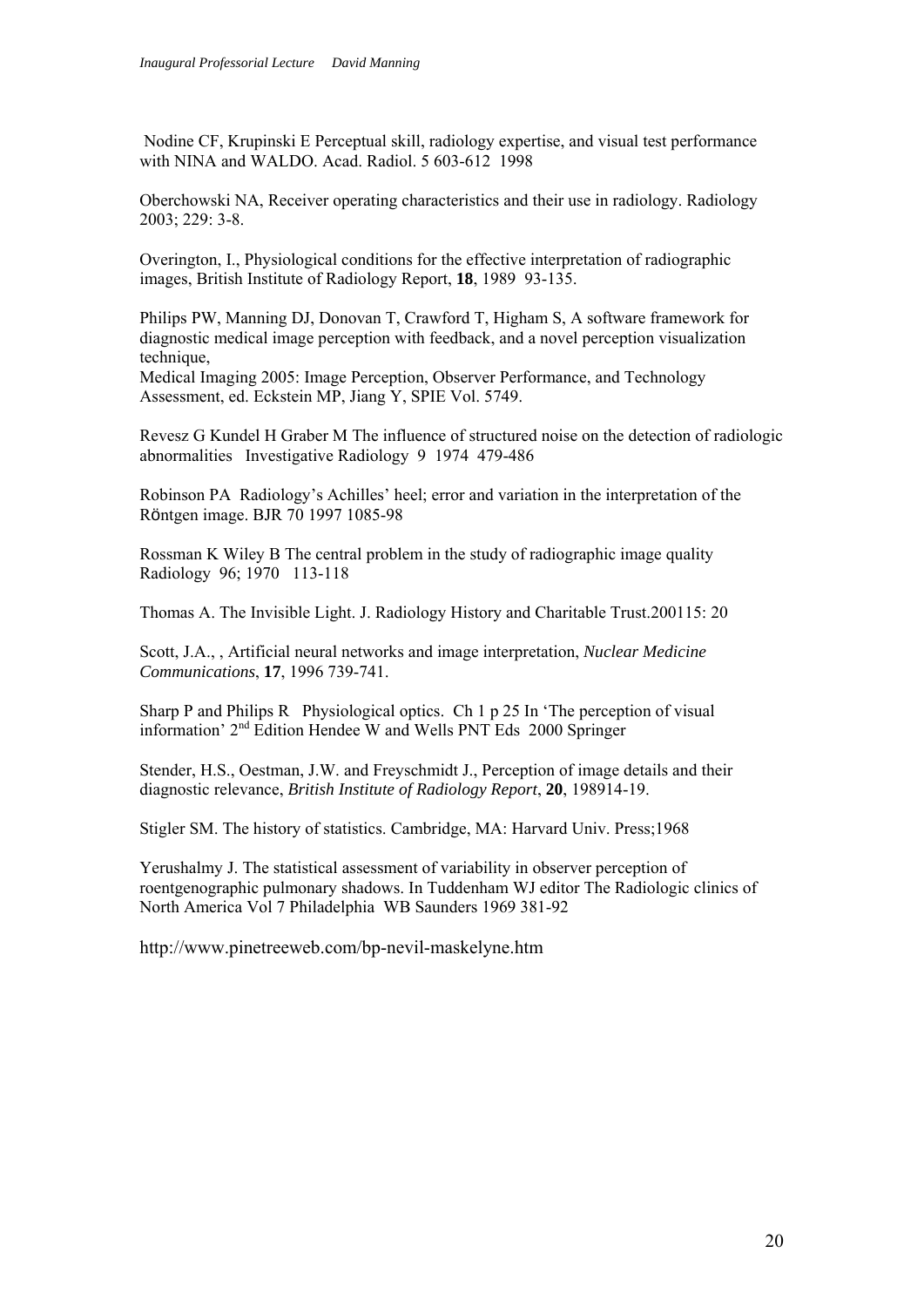Nodine CF, Krupinski E Perceptual skill, radiology expertise, and visual test performance with NINA and WALDO. Acad. Radiol. 5 603-612 1998

Oberchowski NA, Receiver operating characteristics and their use in radiology. Radiology 2003; 229: 3-8.

Overington, I., Physiological conditions for the effective interpretation of radiographic images, British Institute of Radiology Report, **18**, 1989 93-135.

Philips PW, Manning DJ, Donovan T, Crawford T, Higham S, A software framework for diagnostic medical image perception with feedback, and a novel perception visualization technique.

Medical Imaging 2005: Image Perception, Observer Performance, and Technology Assessment, ed. Eckstein MP, Jiang Y, SPIE Vol. 5749.

Revesz G Kundel H Graber M The influence of structured noise on the detection of radiologic abnormalities Investigative Radiology 9 1974 479-486

Robinson PA Radiology's Achilles' heel; error and variation in the interpretation of the Röntgen image. BJR 70 1997 1085-98

Rossman K Wiley B The central problem in the study of radiographic image quality Radiology 96; 1970 113-118

Thomas A. The Invisible Light. J. Radiology History and Charitable Trust.200115: 20

Scott, J.A., , Artificial neural networks and image interpretation, *Nuclear Medicine Communications*, **17**, 1996 739-741.

Sharp P and Philips R Physiological optics. Ch 1 p 25 In 'The perception of visual information' 2nd Edition Hendee W and Wells PNT Eds 2000 Springer

Stender, H.S., Oestman, J.W. and Freyschmidt J., Perception of image details and their diagnostic relevance, *British Institute of Radiology Report*, **20**, 198914-19.

Stigler SM. The history of statistics. Cambridge, MA: Harvard Univ. Press;1968

Yerushalmy J. The statistical assessment of variability in observer perception of roentgenographic pulmonary shadows. In Tuddenham WJ editor The Radiologic clinics of North America Vol 7 Philadelphia WB Saunders 1969 381-92

http://www.pinetreeweb.com/bp-nevil-maskelyne.htm